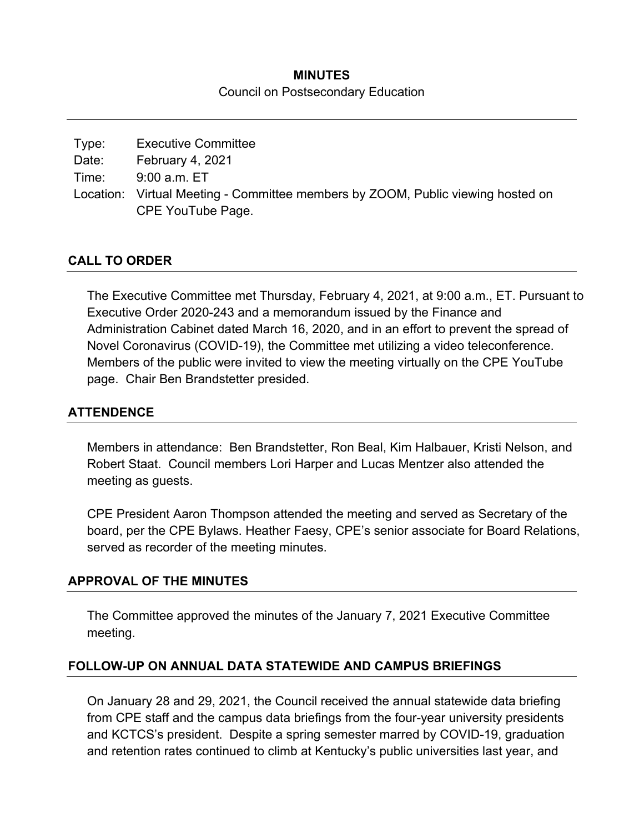## **MINUTES**  Council on Postsecondary Education

| Type: | <b>Executive Committee</b>                                                                           |
|-------|------------------------------------------------------------------------------------------------------|
| Date: | February 4, 2021                                                                                     |
| Time: | 9:00 a.m. ET                                                                                         |
|       | Location: Virtual Meeting - Committee members by ZOOM, Public viewing hosted on<br>CPE YouTube Page. |

### **CALL TO ORDER**

The Executive Committee met Thursday, February 4, 2021, at 9:00 a.m., ET. Pursuant to Executive Order 2020-243 and a memorandum issued by the Finance and Administration Cabinet dated March 16, 2020, and in an effort to prevent the spread of Novel Coronavirus (COVID-19), the Committee met utilizing a video teleconference. Members of the public were invited to view the meeting virtually on the CPE YouTube page. Chair Ben Brandstetter presided.

### **ATTENDENCE**

Members in attendance: Ben Brandstetter, Ron Beal, Kim Halbauer, Kristi Nelson, and Robert Staat. Council members Lori Harper and Lucas Mentzer also attended the meeting as guests.

CPE President Aaron Thompson attended the meeting and served as Secretary of the board, per the CPE Bylaws. Heather Faesy, CPE's senior associate for Board Relations, served as recorder of the meeting minutes.

### **APPROVAL OF THE MINUTES**

The Committee approved the minutes of the January 7, 2021 Executive Committee meeting.

### **FOLLOW-UP ON ANNUAL DATA STATEWIDE AND CAMPUS BRIEFINGS**

On January 28 and 29, 2021, the Council received the annual statewide data briefing from CPE staff and the campus data briefings from the four-year university presidents and KCTCS's president. Despite a spring semester marred by COVID-19, graduation and retention rates continued to climb at Kentucky's public universities last year, and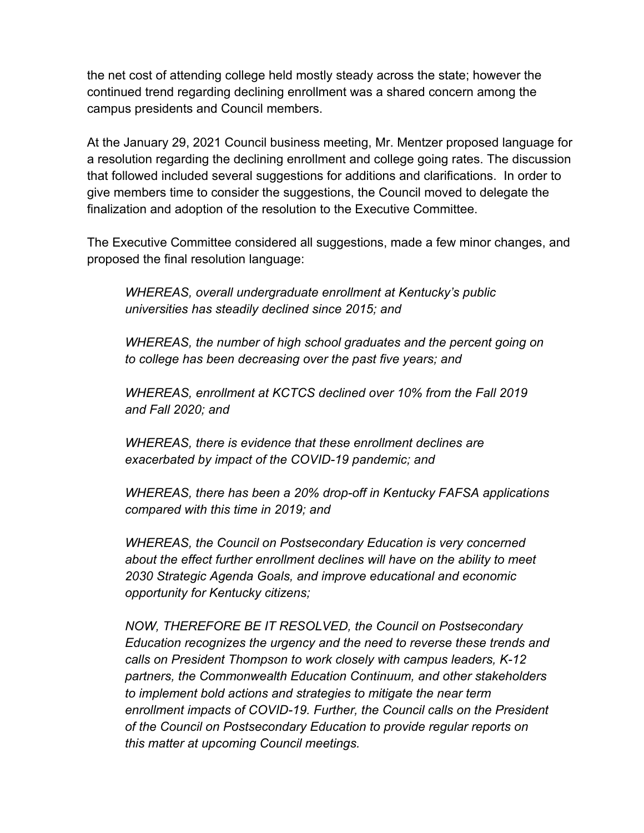the net cost of attending college held mostly steady across the state; however the continued trend regarding declining enrollment was a shared concern among the campus presidents and Council members.

At the January 29, 2021 Council business meeting, Mr. Mentzer proposed language for a resolution regarding the declining enrollment and college going rates. The discussion that followed included several suggestions for additions and clarifications. In order to give members time to consider the suggestions, the Council moved to delegate the finalization and adoption of the resolution to the Executive Committee.

The Executive Committee considered all suggestions, made a few minor changes, and proposed the final resolution language:

*WHEREAS, overall undergraduate enrollment at Kentucky's public universities has steadily declined since 2015; and* 

*WHEREAS, the number of high school graduates and the percent going on to college has been decreasing over the past five years; and* 

*WHEREAS, enrollment at KCTCS declined over 10% from the Fall 2019 and Fall 2020; and* 

*WHEREAS, there is evidence that these enrollment declines are exacerbated by impact of the COVID-19 pandemic; and* 

*WHEREAS, there has been a 20% drop-off in Kentucky FAFSA applications compared with this time in 2019; and* 

*WHEREAS, the Council on Postsecondary Education is very concerned about the effect further enrollment declines will have on the ability to meet 2030 Strategic Agenda Goals, and improve educational and economic opportunity for Kentucky citizens;* 

*NOW, THEREFORE BE IT RESOLVED, the Council on Postsecondary Education recognizes the urgency and the need to reverse these trends and calls on President Thompson to work closely with campus leaders, K-12 partners, the Commonwealth Education Continuum, and other stakeholders to implement bold actions and strategies to mitigate the near term enrollment impacts of COVID-19. Further, the Council calls on the President of the Council on Postsecondary Education to provide regular reports on this matter at upcoming Council meetings.*